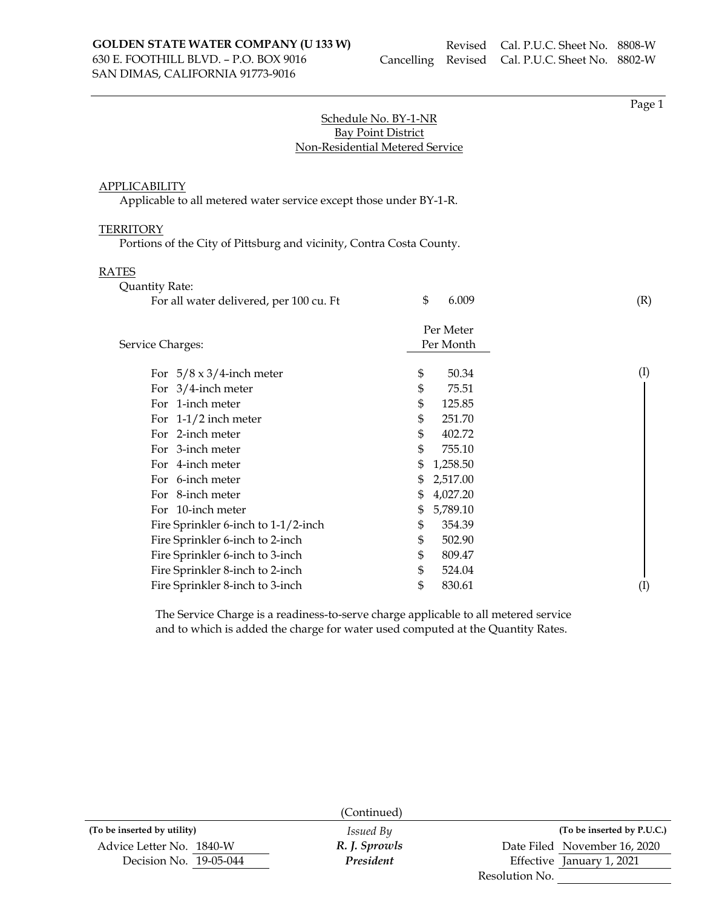Page 1

# Schedule No. BY-1-NR Bay Point District Non-Residential Metered Service

### APPLICABILITY

Applicable to all metered water service except those under BY-1-R.

### **TERRITORY**

Portions of the City of Pittsburg and vicinity, Contra Costa County.

### RATES

| 1 E.J<br>Quantity Rate:                 |                |           |
|-----------------------------------------|----------------|-----------|
| For all water delivered, per 100 cu. Ft | \$<br>6.009    | (R)       |
|                                         | Per Meter      |           |
| Service Charges:                        | Per Month      |           |
| For $5/8 \times 3/4$ -inch meter        | \$<br>50.34    | $\rm (I)$ |
| For $3/4$ -inch meter                   | \$<br>75.51    |           |
| For 1-inch meter                        | \$<br>125.85   |           |
| For $1-1/2$ inch meter                  | \$<br>251.70   |           |
| For 2-inch meter                        | \$<br>402.72   |           |
| For 3-inch meter                        | \$<br>755.10   |           |
| For 4-inch meter                        | \$<br>1,258.50 |           |
| For 6-inch meter                        | \$<br>2,517.00 |           |
| For 8-inch meter                        | \$<br>4,027.20 |           |
| For 10-inch meter                       | \$<br>5,789.10 |           |
| Fire Sprinkler 6-inch to 1-1/2-inch     | \$<br>354.39   |           |
| Fire Sprinkler 6-inch to 2-inch         | \$<br>502.90   |           |
| Fire Sprinkler 6-inch to 3-inch         | \$<br>809.47   |           |
| Fire Sprinkler 8-inch to 2-inch         | \$<br>524.04   |           |
| Fire Sprinkler 8-inch to 3-inch         | \$<br>830.61   | (I)       |
|                                         |                |           |

The Service Charge is a readiness-to-serve charge applicable to all metered service and to which is added the charge for water used computed at the Quantity Rates.

|                             | (Continued)      |                              |
|-----------------------------|------------------|------------------------------|
| (To be inserted by utility) | <i>Issued By</i> | (To be inserted by P.U.C.)   |
| Advice Letter No. 1840-W    | R. J. Sprowls    | Date Filed November 16, 2020 |
| Decision No. 19-05-044      | President        | Effective January 1, 2021    |
|                             |                  | Resolution No.               |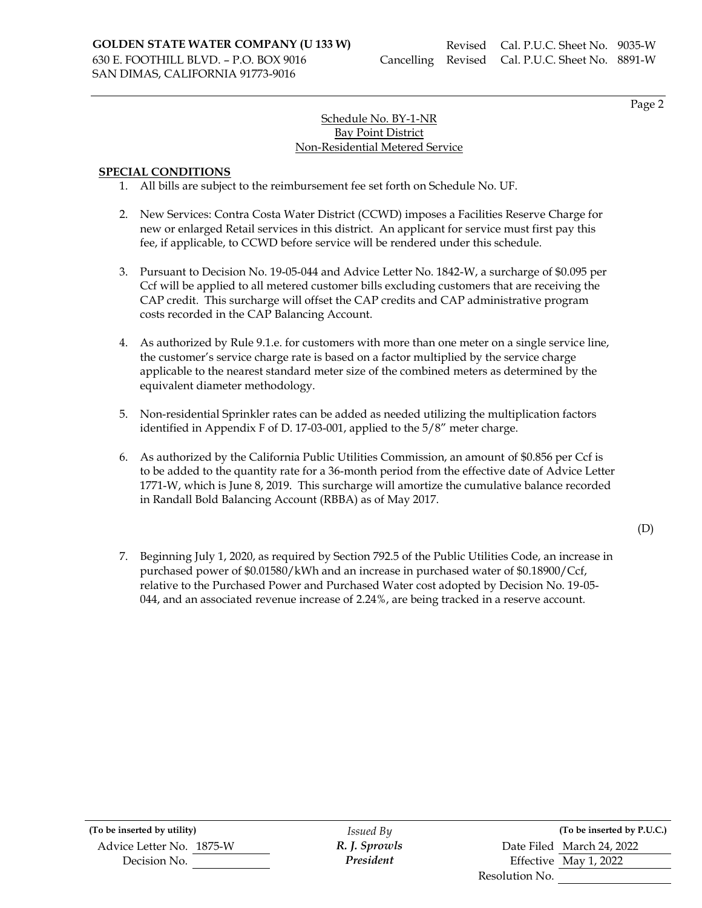Page 2

# Schedule No. BY-1-NR Bay Point District Non-Residential Metered Service

### **SPECIAL CONDITIONS**

- 1. All bills are subject to the reimbursement fee set forth on Schedule No. UF.
- 2. New Services: Contra Costa Water District (CCWD) imposes a Facilities Reserve Charge for new or enlarged Retail services in this district. An applicant for service must first pay this fee, if applicable, to CCWD before service will be rendered under this schedule.
- 3. Pursuant to Decision No. 19-05-044 and Advice Letter No. 1842-W, a surcharge of \$0.095 per Ccf will be applied to all metered customer bills excluding customers that are receiving the CAP credit. This surcharge will offset the CAP credits and CAP administrative program costs recorded in the CAP Balancing Account.
- 4. As authorized by Rule 9.1.e. for customers with more than one meter on a single service line, the customer's service charge rate is based on a factor multiplied by the service charge applicable to the nearest standard meter size of the combined meters as determined by the equivalent diameter methodology.
- 5. Non-residential Sprinkler rates can be added as needed utilizing the multiplication factors identified in Appendix F of D. 17-03-001, applied to the 5/8" meter charge.
- 6. As authorized by the California Public Utilities Commission, an amount of \$0.856 per Ccf is to be added to the quantity rate for a 36-month period from the effective date of Advice Letter 1771-W, which is June 8, 2019. This surcharge will amortize the cumulative balance recorded in Randall Bold Balancing Account (RBBA) as of May 2017.

(D)

7. Beginning July 1, 2020, as required by Section 792.5 of the Public Utilities Code, an increase in purchased power of \$0.01580/kWh and an increase in purchased water of \$0.18900/Ccf, relative to the Purchased Power and Purchased Water cost adopted by Decision No. 19-05- 044, and an associated revenue increase of 2.24%, are being tracked in a reserve account.

**(To be inserted by utility)** *Issued By* **(To be inserted by P.U.C.)** Advice Letter No. 1875-W *R. J. Sprowls* Date Filed March 24, 2022

Decision No. *President* Effective May 1, 2022 Resolution No.